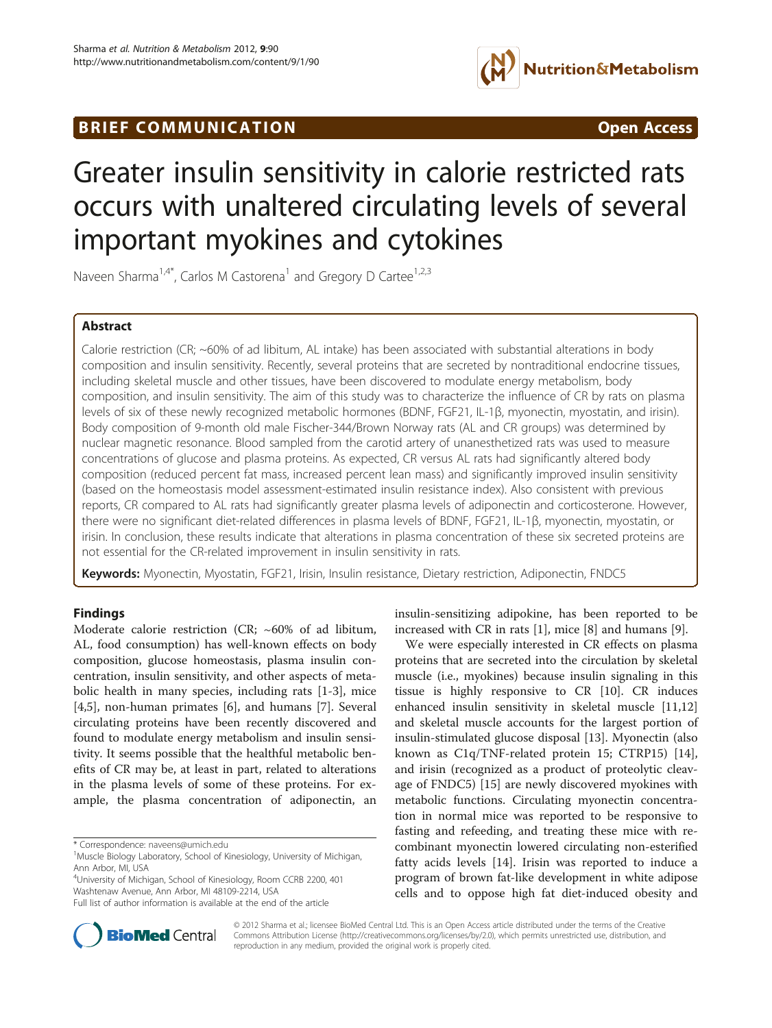# BRIEF COMMUNICATION **Open Access**



# Greater insulin sensitivity in calorie restricted rats occurs with unaltered circulating levels of several important myokines and cytokines

Naveen Sharma<sup>1,4\*</sup>, Carlos M Castorena<sup>1</sup> and Gregory D Cartee<sup>1,2,3</sup>

## Abstract

Calorie restriction (CR; ~60% of ad libitum, AL intake) has been associated with substantial alterations in body composition and insulin sensitivity. Recently, several proteins that are secreted by nontraditional endocrine tissues, including skeletal muscle and other tissues, have been discovered to modulate energy metabolism, body composition, and insulin sensitivity. The aim of this study was to characterize the influence of CR by rats on plasma levels of six of these newly recognized metabolic hormones (BDNF, FGF21, IL-1β, myonectin, myostatin, and irisin). Body composition of 9-month old male Fischer-344/Brown Norway rats (AL and CR groups) was determined by nuclear magnetic resonance. Blood sampled from the carotid artery of unanesthetized rats was used to measure concentrations of glucose and plasma proteins. As expected, CR versus AL rats had significantly altered body composition (reduced percent fat mass, increased percent lean mass) and significantly improved insulin sensitivity (based on the homeostasis model assessment-estimated insulin resistance index). Also consistent with previous reports, CR compared to AL rats had significantly greater plasma levels of adiponectin and corticosterone. However, there were no significant diet-related differences in plasma levels of BDNF, FGF21, IL-1β, myonectin, myostatin, or irisin. In conclusion, these results indicate that alterations in plasma concentration of these six secreted proteins are not essential for the CR-related improvement in insulin sensitivity in rats.

Keywords: Myonectin, Myostatin, FGF21, Irisin, Insulin resistance, Dietary restriction, Adiponectin, FNDC5

### Findings

Moderate calorie restriction (CR; ~60% of ad libitum, AL, food consumption) has well-known effects on body composition, glucose homeostasis, plasma insulin concentration, insulin sensitivity, and other aspects of metabolic health in many species, including rats [\[1](#page-3-0)-[3\]](#page-3-0), mice [[4,5\]](#page-3-0), non-human primates [\[6](#page-3-0)], and humans [\[7](#page-3-0)]. Several circulating proteins have been recently discovered and found to modulate energy metabolism and insulin sensitivity. It seems possible that the healthful metabolic benefits of CR may be, at least in part, related to alterations in the plasma levels of some of these proteins. For example, the plasma concentration of adiponectin, an

\* Correspondence: [naveens@umich.edu](mailto:naveens@umich.edu) <sup>1</sup>

4 University of Michigan, School of Kinesiology, Room CCRB 2200, 401 Washtenaw Avenue, Ann Arbor, MI 48109-2214, USA



We were especially interested in CR effects on plasma proteins that are secreted into the circulation by skeletal muscle (i.e., myokines) because insulin signaling in this tissue is highly responsive to CR [\[10](#page-3-0)]. CR induces enhanced insulin sensitivity in skeletal muscle [[11](#page-3-0),[12](#page-3-0)] and skeletal muscle accounts for the largest portion of insulin-stimulated glucose disposal [\[13\]](#page-3-0). Myonectin (also known as C1q/TNF-related protein 15; CTRP15) [\[14](#page-3-0)], and irisin (recognized as a product of proteolytic cleavage of FNDC5) [[15](#page-3-0)] are newly discovered myokines with metabolic functions. Circulating myonectin concentration in normal mice was reported to be responsive to fasting and refeeding, and treating these mice with recombinant myonectin lowered circulating non-esterified fatty acids levels [\[14\]](#page-3-0). Irisin was reported to induce a program of brown fat-like development in white adipose cells and to oppose high fat diet-induced obesity and



© 2012 Sharma et al.; licensee BioMed Central Ltd. This is an Open Access article distributed under the terms of the Creative Commons Attribution License [\(http://creativecommons.org/licenses/by/2.0\)](http://creativecommons.org/licenses/by/2.0), which permits unrestricted use, distribution, and reproduction in any medium, provided the original work is properly cited.

<sup>&</sup>lt;sup>1</sup>Muscle Biology Laboratory, School of Kinesiology, University of Michigan, Ann Arbor, MI, USA

Full list of author information is available at the end of the article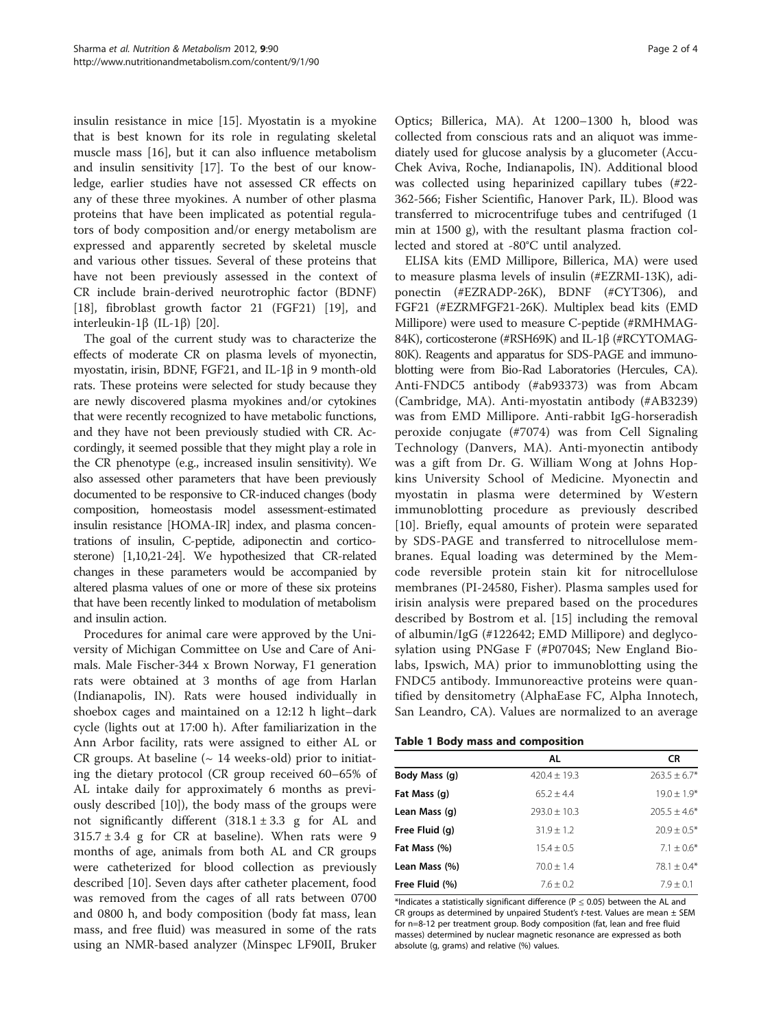<span id="page-1-0"></span>insulin resistance in mice [[15\]](#page-3-0). Myostatin is a myokine that is best known for its role in regulating skeletal muscle mass [[16\]](#page-3-0), but it can also influence metabolism and insulin sensitivity [\[17](#page-3-0)]. To the best of our knowledge, earlier studies have not assessed CR effects on any of these three myokines. A number of other plasma proteins that have been implicated as potential regulators of body composition and/or energy metabolism are expressed and apparently secreted by skeletal muscle and various other tissues. Several of these proteins that have not been previously assessed in the context of CR include brain-derived neurotrophic factor (BDNF) [[18\]](#page-3-0), fibroblast growth factor 21 (FGF21) [[19](#page-3-0)], and interleukin-1β (IL-1β) [\[20](#page-3-0)].

The goal of the current study was to characterize the effects of moderate CR on plasma levels of myonectin, myostatin, irisin, BDNF, FGF21, and IL-1β in 9 month-old rats. These proteins were selected for study because they are newly discovered plasma myokines and/or cytokines that were recently recognized to have metabolic functions, and they have not been previously studied with CR. Accordingly, it seemed possible that they might play a role in the CR phenotype (e.g., increased insulin sensitivity). We also assessed other parameters that have been previously documented to be responsive to CR-induced changes (body composition, homeostasis model assessment-estimated insulin resistance [HOMA-IR] index, and plasma concentrations of insulin, C-peptide, adiponectin and corticosterone) [[1,10,21](#page-3-0)-[24\]](#page-3-0). We hypothesized that CR-related changes in these parameters would be accompanied by altered plasma values of one or more of these six proteins that have been recently linked to modulation of metabolism and insulin action.

Procedures for animal care were approved by the University of Michigan Committee on Use and Care of Animals. Male Fischer-344 x Brown Norway, F1 generation rats were obtained at 3 months of age from Harlan (Indianapolis, IN). Rats were housed individually in shoebox cages and maintained on a 12:12 h light–dark cycle (lights out at 17:00 h). After familiarization in the Ann Arbor facility, rats were assigned to either AL or CR groups. At baseline  $($   $\sim$  14 weeks-old) prior to initiating the dietary protocol (CR group received 60–65% of AL intake daily for approximately 6 months as previously described [[10\]](#page-3-0)), the body mass of the groups were not significantly different  $(318.1 \pm 3.3 \text{ g}$  for AL and  $315.7 \pm 3.4$  g for CR at baseline). When rats were 9 months of age, animals from both AL and CR groups were catheterized for blood collection as previously described [[10](#page-3-0)]. Seven days after catheter placement, food was removed from the cages of all rats between 0700 and 0800 h, and body composition (body fat mass, lean mass, and free fluid) was measured in some of the rats using an NMR-based analyzer (Minspec LF90II, Bruker

Optics; Billerica, MA). At 1200–1300 h, blood was collected from conscious rats and an aliquot was immediately used for glucose analysis by a glucometer (Accu-Chek Aviva, Roche, Indianapolis, IN). Additional blood was collected using heparinized capillary tubes (#22- 362-566; Fisher Scientific, Hanover Park, IL). Blood was transferred to microcentrifuge tubes and centrifuged (1 min at 1500 g), with the resultant plasma fraction collected and stored at -80°C until analyzed.

ELISA kits (EMD Millipore, Billerica, MA) were used to measure plasma levels of insulin (#EZRMI-13K), adiponectin (#EZRADP-26K), BDNF (#CYT306), and FGF21 (#EZRMFGF21-26K). Multiplex bead kits (EMD Millipore) were used to measure C-peptide (#RMHMAG-84K), corticosterone (#RSH69K) and IL-1β (#RCYTOMAG-80K). Reagents and apparatus for SDS-PAGE and immunoblotting were from Bio-Rad Laboratories (Hercules, CA). Anti-FNDC5 antibody (#ab93373) was from Abcam (Cambridge, MA). Anti-myostatin antibody (#AB3239) was from EMD Millipore. Anti-rabbit IgG-horseradish peroxide conjugate (#7074) was from Cell Signaling Technology (Danvers, MA). Anti-myonectin antibody was a gift from Dr. G. William Wong at Johns Hopkins University School of Medicine. Myonectin and myostatin in plasma were determined by Western immunoblotting procedure as previously described [[10\]](#page-3-0). Briefly, equal amounts of protein were separated by SDS-PAGE and transferred to nitrocellulose membranes. Equal loading was determined by the Memcode reversible protein stain kit for nitrocellulose membranes (PI-24580, Fisher). Plasma samples used for irisin analysis were prepared based on the procedures described by Bostrom et al. [[15\]](#page-3-0) including the removal of albumin/IgG (#122642; EMD Millipore) and deglycosylation using PNGase F (#P0704S; New England Biolabs, Ipswich, MA) prior to immunoblotting using the FNDC5 antibody. Immunoreactive proteins were quantified by densitometry (AlphaEase FC, Alpha Innotech, San Leandro, CA). Values are normalized to an average

|  |  |  | <b>Table 1 Body mass and composition</b> |  |
|--|--|--|------------------------------------------|--|
|--|--|--|------------------------------------------|--|

|                | AL             | CR               |
|----------------|----------------|------------------|
| Body Mass (q)  | $420.4 + 19.3$ | $263.5 \pm 6.7*$ |
| Fat Mass (g)   | $65.2 + 4.4$   | $19.0 + 1.9*$    |
| Lean Mass (q)  | $793.0 + 10.3$ | $205.5 + 4.6*$   |
| Free Fluid (g) | $31.9 + 1.2$   | $20.9 + 0.5*$    |
| Fat Mass (%)   | $15.4 + 0.5$   | $7.1 + 0.6*$     |
| Lean Mass (%)  | $70.0 + 1.4$   | $78.1 + 0.4*$    |
| Free Fluid (%) | $7.6 + 0.2$    | $7.9 + 0.1$      |

\*Indicates a statistically significant difference ( $P \le 0.05$ ) between the AL and CR groups as determined by unpaired Student's t-test. Values are mean  $\pm$  SEM for n=8-12 per treatment group. Body composition (fat, lean and free fluid masses) determined by nuclear magnetic resonance are expressed as both absolute (g, grams) and relative (%) values.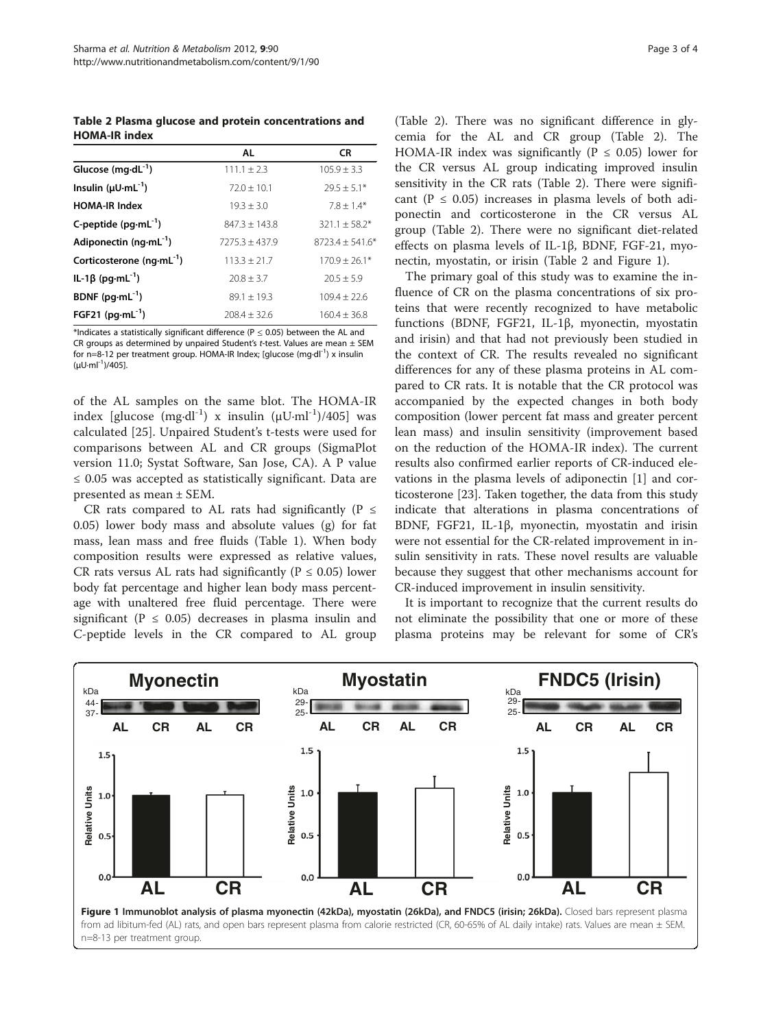Table 2 Plasma glucose and protein concentrations and HOMA-IR index

|                                  | AL               | <b>CR</b>           |
|----------------------------------|------------------|---------------------|
| Glucose $(mq \cdot dL^{-1})$     | $111.1 + 2.3$    | $105.9 + 3.3$       |
| Insulin $(\mu U \cdot mL^{-1})$  | $72.0 + 10.1$    | $29.5 \pm 5.1*$     |
| <b>HOMA-IR Index</b>             | $19.3 + 3.0$     | $7.8 + 1.4*$        |
| C-peptide $(pq·mL^{-1})$         | $847.3 + 143.8$  | $321.1 \pm 58.2*$   |
| Adiponectin $(nq \cdot mL^{-1})$ | $7275.3 + 437.9$ | $8723.4 \pm 541.6*$ |
| Corticosterone ( $nq·mL^{-1}$ )  | $113.3 + 21.7$   | $170.9 \pm 26.1*$   |
| IL-1β (pg·mL <sup>-1</sup> )     | $20.8 \pm 3.7$   | $20.5 + 5.9$        |
| BDNF $(pq\cdot mL^{-1})$         | $89.1 + 19.3$    | $109.4 + 22.6$      |
| FGF21 ( $pg \cdot mL^{-1}$ )     | $708.4 + 32.6$   | $160.4 + 36.8$      |

\*Indicates a statistically significant difference ( $P \le 0.05$ ) between the AL and CR groups as determined by unpaired Student's t-test. Values are mean  $\pm$  SEM for n=8-12 per treatment group. HOMA-IR Index; [glucose (mg·dl<sup>-1</sup>) x insulin  $(\mu U \cdot ml^{-1})$ /405].

of the AL samples on the same blot. The HOMA-IR index [glucose (mg·dl<sup>-1</sup>) x insulin ( $\mu$ U·ml<sup>-1</sup>)/405] was calculated [[25\]](#page-3-0). Unpaired Student's t-tests were used for comparisons between AL and CR groups (SigmaPlot version 11.0; Systat Software, San Jose, CA). A P value ≤ 0.05 was accepted as statistically significant. Data are presented as mean ± SEM.

CR rats compared to AL rats had significantly ( $P \leq$ 0.05) lower body mass and absolute values (g) for fat mass, lean mass and free fluids (Table [1](#page-1-0)). When body composition results were expressed as relative values, CR rats versus AL rats had significantly ( $P \le 0.05$ ) lower body fat percentage and higher lean body mass percentage with unaltered free fluid percentage. There were significant ( $P \le 0.05$ ) decreases in plasma insulin and C-peptide levels in the CR compared to AL group (Table 2). There was no significant difference in glycemia for the AL and CR group (Table 2). The HOMA-IR index was significantly ( $P \le 0.05$ ) lower for the CR versus AL group indicating improved insulin sensitivity in the CR rats (Table 2). There were significant ( $P \le 0.05$ ) increases in plasma levels of both adiponectin and corticosterone in the CR versus AL group (Table 2). There were no significant diet-related effects on plasma levels of IL-1β, BDNF, FGF-21, myonectin, myostatin, or irisin (Table 2 and Figure 1).

The primary goal of this study was to examine the influence of CR on the plasma concentrations of six proteins that were recently recognized to have metabolic functions (BDNF, FGF21, IL-1β, myonectin, myostatin and irisin) and that had not previously been studied in the context of CR. The results revealed no significant differences for any of these plasma proteins in AL compared to CR rats. It is notable that the CR protocol was accompanied by the expected changes in both body composition (lower percent fat mass and greater percent lean mass) and insulin sensitivity (improvement based on the reduction of the HOMA-IR index). The current results also confirmed earlier reports of CR-induced elevations in the plasma levels of adiponectin [\[1](#page-3-0)] and corticosterone [\[23\]](#page-3-0). Taken together, the data from this study indicate that alterations in plasma concentrations of BDNF, FGF21, IL-1β, myonectin, myostatin and irisin were not essential for the CR-related improvement in insulin sensitivity in rats. These novel results are valuable because they suggest that other mechanisms account for CR-induced improvement in insulin sensitivity.

It is important to recognize that the current results do not eliminate the possibility that one or more of these plasma proteins may be relevant for some of CR's